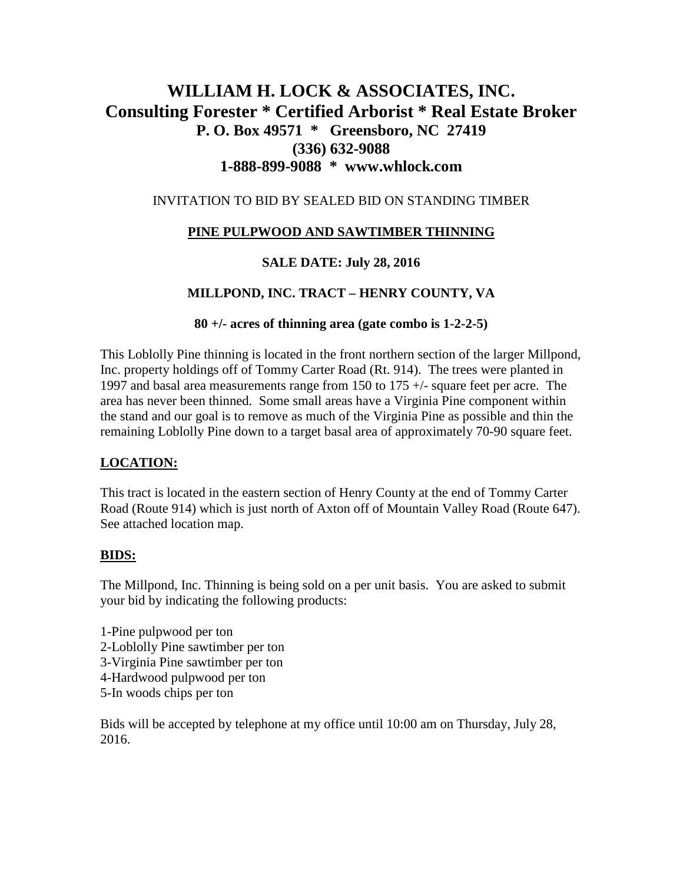# **WILLIAM H. LOCK & ASSOCIATES, INC. Consulting Forester \* Certified Arborist \* Real Estate Broker P. O. Box 49571 \* Greensboro, NC 27419 (336) 632-9088 1-888-899-9088 \* www.whlock.com**

## INVITATION TO BID BY SEALED BID ON STANDING TIMBER

# **PINE PULPWOOD AND SAWTIMBER THINNING**

## **SALE DATE: July 28, 2016**

## **MILLPOND, INC. TRACT – HENRY COUNTY, VA**

#### **80 +/- acres of thinning area (gate combo is 1-2-2-5)**

This Loblolly Pine thinning is located in the front northern section of the larger Millpond, Inc. property holdings off of Tommy Carter Road (Rt. 914). The trees were planted in 1997 and basal area measurements range from 150 to 175 +/- square feet per acre. The area has never been thinned. Some small areas have a Virginia Pine component within the stand and our goal is to remove as much of the Virginia Pine as possible and thin the remaining Loblolly Pine down to a target basal area of approximately 70-90 square feet.

#### **LOCATION:**

This tract is located in the eastern section of Henry County at the end of Tommy Carter Road (Route 914) which is just north of Axton off of Mountain Valley Road (Route 647). See attached location map.

#### **BIDS:**

The Millpond, Inc. Thinning is being sold on a per unit basis. You are asked to submit your bid by indicating the following products:

- 1-Pine pulpwood per ton
- 2-Loblolly Pine sawtimber per ton
- 3-Virginia Pine sawtimber per ton
- 4-Hardwood pulpwood per ton
- 5-In woods chips per ton

Bids will be accepted by telephone at my office until 10:00 am on Thursday, July 28, 2016.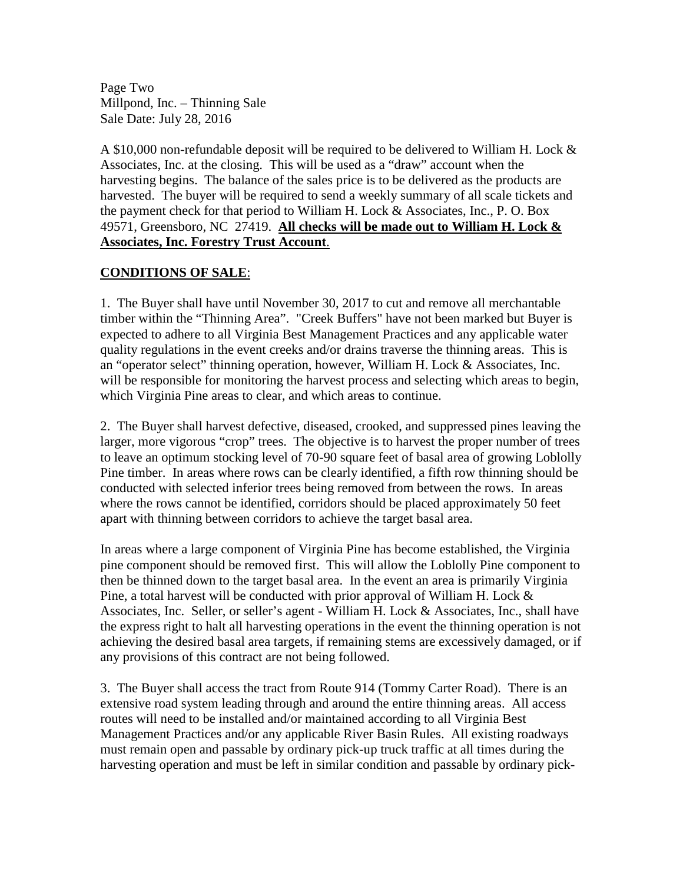Page Two Millpond, Inc. – Thinning Sale Sale Date: July 28, 2016

A \$10,000 non-refundable deposit will be required to be delivered to William H. Lock & Associates, Inc. at the closing. This will be used as a "draw" account when the harvesting begins. The balance of the sales price is to be delivered as the products are harvested. The buyer will be required to send a weekly summary of all scale tickets and the payment check for that period to William H. Lock & Associates, Inc., P. O. Box 49571, Greensboro, NC 27419. **All checks will be made out to William H. Lock & Associates, Inc. Forestry Trust Account**.

# **CONDITIONS OF SALE**:

1. The Buyer shall have until November 30, 2017 to cut and remove all merchantable timber within the "Thinning Area". "Creek Buffers" have not been marked but Buyer is expected to adhere to all Virginia Best Management Practices and any applicable water quality regulations in the event creeks and/or drains traverse the thinning areas. This is an "operator select" thinning operation, however, William H. Lock & Associates, Inc. will be responsible for monitoring the harvest process and selecting which areas to begin, which Virginia Pine areas to clear, and which areas to continue.

2. The Buyer shall harvest defective, diseased, crooked, and suppressed pines leaving the larger, more vigorous "crop" trees. The objective is to harvest the proper number of trees to leave an optimum stocking level of 70-90 square feet of basal area of growing Loblolly Pine timber. In areas where rows can be clearly identified, a fifth row thinning should be conducted with selected inferior trees being removed from between the rows. In areas where the rows cannot be identified, corridors should be placed approximately 50 feet apart with thinning between corridors to achieve the target basal area.

In areas where a large component of Virginia Pine has become established, the Virginia pine component should be removed first. This will allow the Loblolly Pine component to then be thinned down to the target basal area. In the event an area is primarily Virginia Pine, a total harvest will be conducted with prior approval of William H. Lock & Associates, Inc. Seller, or seller's agent - William H. Lock & Associates, Inc., shall have the express right to halt all harvesting operations in the event the thinning operation is not achieving the desired basal area targets, if remaining stems are excessively damaged, or if any provisions of this contract are not being followed.

3. The Buyer shall access the tract from Route 914 (Tommy Carter Road). There is an extensive road system leading through and around the entire thinning areas. All access routes will need to be installed and/or maintained according to all Virginia Best Management Practices and/or any applicable River Basin Rules. All existing roadways must remain open and passable by ordinary pick-up truck traffic at all times during the harvesting operation and must be left in similar condition and passable by ordinary pick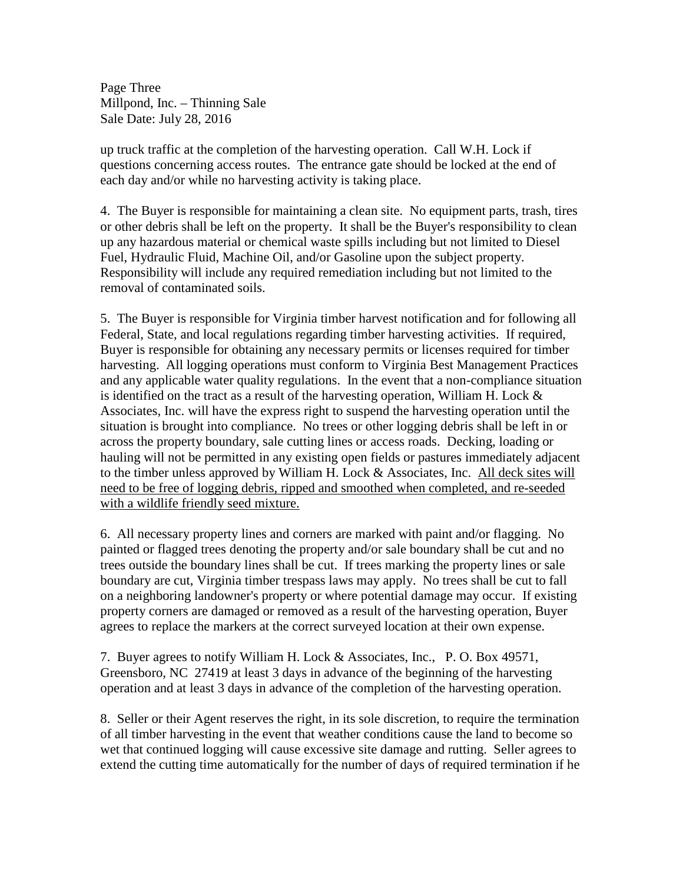Page Three Millpond, Inc. – Thinning Sale Sale Date: July 28, 2016

up truck traffic at the completion of the harvesting operation. Call W.H. Lock if questions concerning access routes. The entrance gate should be locked at the end of each day and/or while no harvesting activity is taking place.

4. The Buyer is responsible for maintaining a clean site. No equipment parts, trash, tires or other debris shall be left on the property. It shall be the Buyer's responsibility to clean up any hazardous material or chemical waste spills including but not limited to Diesel Fuel, Hydraulic Fluid, Machine Oil, and/or Gasoline upon the subject property. Responsibility will include any required remediation including but not limited to the removal of contaminated soils.

5. The Buyer is responsible for Virginia timber harvest notification and for following all Federal, State, and local regulations regarding timber harvesting activities. If required, Buyer is responsible for obtaining any necessary permits or licenses required for timber harvesting. All logging operations must conform to Virginia Best Management Practices and any applicable water quality regulations. In the event that a non-compliance situation is identified on the tract as a result of the harvesting operation, William H. Lock  $\&$ Associates, Inc. will have the express right to suspend the harvesting operation until the situation is brought into compliance. No trees or other logging debris shall be left in or across the property boundary, sale cutting lines or access roads. Decking, loading or hauling will not be permitted in any existing open fields or pastures immediately adjacent to the timber unless approved by William H. Lock  $\&$  Associates, Inc. All deck sites will need to be free of logging debris, ripped and smoothed when completed, and re-seeded with a wildlife friendly seed mixture.

6. All necessary property lines and corners are marked with paint and/or flagging. No painted or flagged trees denoting the property and/or sale boundary shall be cut and no trees outside the boundary lines shall be cut. If trees marking the property lines or sale boundary are cut, Virginia timber trespass laws may apply. No trees shall be cut to fall on a neighboring landowner's property or where potential damage may occur. If existing property corners are damaged or removed as a result of the harvesting operation, Buyer agrees to replace the markers at the correct surveyed location at their own expense.

7. Buyer agrees to notify William H. Lock & Associates, Inc., P. O. Box 49571, Greensboro, NC 27419 at least 3 days in advance of the beginning of the harvesting operation and at least 3 days in advance of the completion of the harvesting operation.

8. Seller or their Agent reserves the right, in its sole discretion, to require the termination of all timber harvesting in the event that weather conditions cause the land to become so wet that continued logging will cause excessive site damage and rutting. Seller agrees to extend the cutting time automatically for the number of days of required termination if he